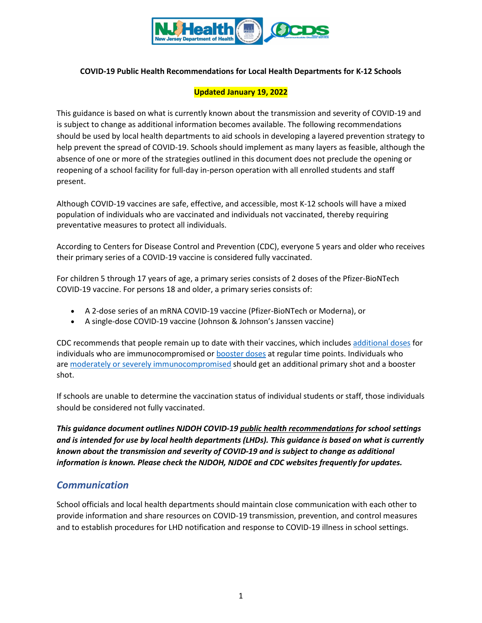

### **COVID-19 Public Health Recommendations for Local Health Departments for K-12 Schools**

### **Updated January 19, 2022**

This guidance is based on what is currently known about the transmission and severity of COVID-19 and is subject to change as additional information becomes available. The following recommendations should be used by local health departments to aid schools in developing a layered prevention strategy to help prevent the spread of COVID-19. Schools should implement as many layers as feasible, although the absence of one or more of the strategies outlined in this document does not preclude the opening or reopening of a school facility for full-day in-person operation with all enrolled students and staff present.

Although COVID-19 vaccines are safe, effective, and accessible, most K-12 schools will have a mixed population of individuals who are vaccinated and individuals not vaccinated, thereby requiring preventative measures to protect all individuals.

According to Centers for Disease Control and Prevention (CDC), everyone 5 years and older who receives their primary series of a COVID-19 vaccine is considered fully vaccinated.

For children 5 through 17 years of age, a primary series consists of 2 doses of the Pfizer-BioNTech COVID-19 vaccine. For persons 18 and older, a primary series consists of:

- A 2-dose series of an mRNA COVID-19 vaccine (Pfizer-BioNTech or Moderna), or
- A single-dose COVID-19 vaccine (Johnson & Johnson's Janssen vaccine)

CDC recommends that people remain up to date with their vaccines, which includes [additional doses](https://www.cdc.gov/coronavirus/2019-ncov/vaccines/recommendations/immuno.html) for individuals who are immunocompromised or **booster** doses at regular time points. Individuals who are [moderately or severely immunocompromised](https://www.cdc.gov/coronavirus/2019-ncov/vaccines/recommendations/immuno.html) should get an additional primary shot and a booster shot.

If schools are unable to determine the vaccination status of individual students or staff, those individuals should be considered not fully vaccinated.

*This guidance document outlines NJDOH COVID-19 public health recommendations for school settings and is intended for use by local health departments (LHDs). This guidance is based on what is currently known about the transmission and severity of COVID-19 and is subject to change as additional information is known. Please check the NJDOH, NJDOE and CDC websites frequently for updates.* 

## *Communication*

School officials and local health departments should maintain close communication with each other to provide information and share resources on COVID-19 transmission, prevention, and control measures and to establish procedures for LHD notification and response to COVID-19 illness in school settings.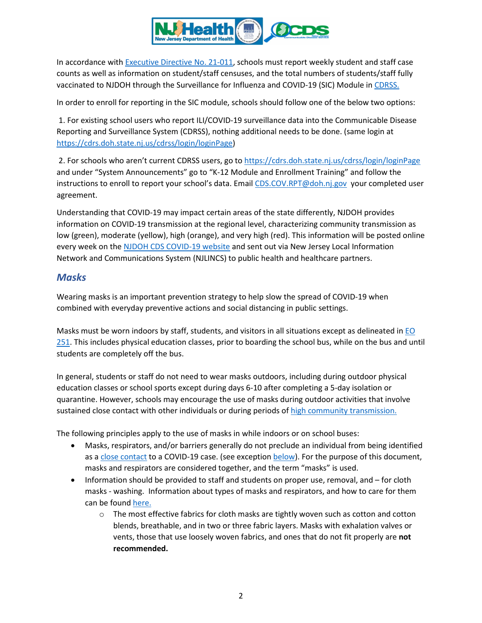

In accordance with [Executive Directive No.](https://nj.gov/health/legal/covid19/VaxTestEDCoveredSettings.pdf) 21-011, schools must report weekly student and staff case counts as well as information on student/staff censuses, and the total numbers of students/staff fully vaccinated to NJDOH through the Surveillance for Influenza and COVID-19 (SIC) Module in [CDRSS.](https://cdrs.doh.state.nj.us/cdrss/login/loginPage/) 

In order to enroll for reporting in the SIC module, schools should follow one of the below two options:

1. For existing school users who report ILI/COVID-19 surveillance data into the Communicable Disease Reporting and Surveillance System (CDRSS), nothing additional needs to be done. (same login at [https://cdrs.doh.state.nj.us/cdrss/login/loginPage\)](https://cdrs.doh.state.nj.us/cdrss/login/loginPage)

2. For schools who aren't current CDRSS users, go t[o https://cdrs.doh.state.nj.us/cdrss/login/loginPage](https://cdrs.doh.state.nj.us/cdrss/login/loginPage) and under "System Announcements" go to "K-12 Module and Enrollment Training" and follow the instructions to enroll to report your school's data. Email [CDS.COV.RPT@doh.nj.gov](mailto:CDS.COV.RPT@doh.nj.gov) your completed user agreement.

Understanding that COVID-19 may impact certain areas of the state differently, NJDOH provides information on COVID-19 transmission at the regional level, characterizing community transmission as low (green), moderate (yellow), high (orange), and very high (red). This information will be posted online every week on the [NJDOH CDS COVID-19 website](https://www.nj.gov/health/cd/statistics/covid/) and sent out via New Jersey Local Information Network and Communications System (NJLINCS) to public health and healthcare partners.

## *Masks*

Wearing masks is an important prevention strategy to help slow the spread of COVID-19 when combined with everyday preventive actions and social distancing in public settings.

Masks must be worn indoors by staff, students, and visitors in all situations except as delineated in  $E_0$ [251.](https://nj.gov/infobank/eo/056murphy/pdf/EO-251.pdf) This includes physical education classes, prior to boarding the school bus, while on the bus and until students are completely off the bus.

In general, students or staff do not need to wear masks outdoors, including during outdoor physical education classes or school sports except during days 6-10 after completing a 5-day isolation or quarantine. However, schools may encourage the use of masks during outdoor activities that involve sustained close contact with other individuals or during periods of [high community transmission.](https://www.nj.gov/health/cd/statistics/covid/#1)

The following principles apply to the use of masks in while indoors or on school buses:

- Masks, respirators, and/or barriers generally do not preclude an individual from being identified as a close contact [to a COVID-19 case.](#page-14-0) (see exception [below\)](#page-14-1). For the purpose of this document, masks and respirators are considered together, and the term "masks" is used.
- Information should be provided to staff and students on proper use, removal, and for cloth masks - washing. Information about types of masks and respirators, and how to care for them can be found [here.](https://www.cdc.gov/coronavirus/2019-ncov/prevent-getting-sick/masks.html)
	- $\circ$  The most effective fabrics for cloth masks are tightly woven such as cotton and cotton blends, breathable, and in two or three fabric layers. Masks with exhalation valves or vents, those that use loosely woven fabrics, and ones that do not fit properly are **not recommended.**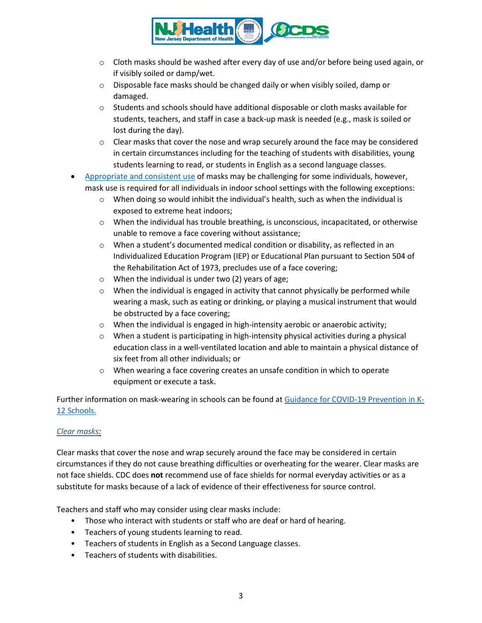

- $\circ$  Cloth masks should be washed after every day of use and/or before being used again, or if visibly soiled or damp/wet.
- o Disposable face masks should be changed daily or when visibly soiled, damp or damaged.
- $\circ$  Students and schools should have additional disposable or cloth masks available for students, teachers, and staff in case a back-up mask is needed (e.g., mask is soiled or lost during the day).
- $\circ$  Clear masks that cover the nose and wrap securely around the face may be considered in certain circumstances including for the teaching of students with disabilities, young students learning to read, or students in English as a second language classes.
- [Appropriate and consistent use](https://www.cdc.gov/coronavirus/2019-ncov/prevent-getting-sick/how-to-wear-cloth-face-coverings.html) of masks may be challenging for some individuals, however, mask use is required for all individuals in indoor school settings with the following exceptions:
	- $\circ$  When doing so would inhibit the individual's health, such as when the individual is exposed to extreme heat indoors;
	- $\circ$  When the individual has trouble breathing, is unconscious, incapacitated, or otherwise unable to remove a face covering without assistance;
	- $\circ$  When a student's documented medical condition or disability, as reflected in an Individualized Education Program (IEP) or Educational Plan pursuant to Section 504 of the Rehabilitation Act of 1973, precludes use of a face covering;
	- o When the individual is under two (2) years of age;
	- $\circ$  When the individual is engaged in activity that cannot physically be performed while wearing a mask, such as eating or drinking, or playing a musical instrument that would be obstructed by a face covering;
	- o When the individual is engaged in high-intensity aerobic or anaerobic activity;
	- $\circ$  When a student is participating in high-intensity physical activities during a physical education class in a well-ventilated location and able to maintain a physical distance of six feet from all other individuals; or
	- $\circ$  When wearing a face covering creates an unsafe condition in which to operate equipment or execute a task.

Further information on mask-wearing in schools can be found at [Guidance for COVID-19 Prevention in K-](https://www.cdc.gov/coronavirus/2019-ncov/community/schools-childcare/k-12-guidance.html)[12 Schools.](https://www.cdc.gov/coronavirus/2019-ncov/community/schools-childcare/k-12-guidance.html)

## *Clear masks:*

Clear masks that cover the nose and wrap securely around the face may be considered in certain circumstances if they do not cause breathing difficulties or overheating for the wearer. Clear masks are not face shields. CDC does **not** recommend use of face shields for normal everyday activities or as a substitute for masks because of a lack of evidence of their effectiveness for source control.

Teachers and staff who may consider using clear masks include:

- Those who interact with students or staff who are deaf or hard of hearing.
- Teachers of young students learning to read.
- Teachers of students in English as a Second Language classes.
- Teachers of students with disabilities.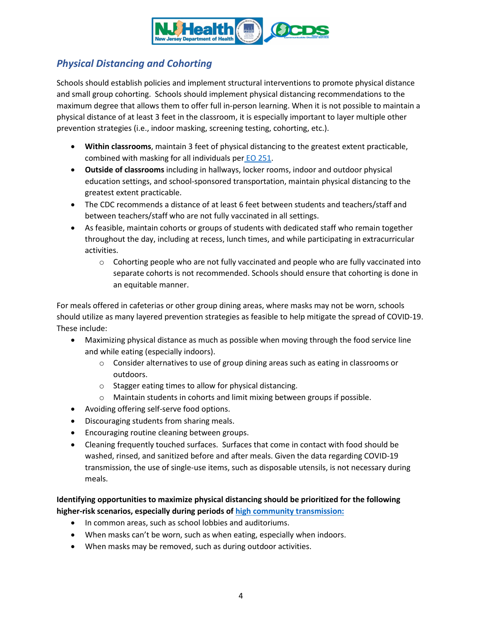

# *Physical Distancing and Cohorting*

Schools should establish policies and implement structural interventions to promote physical distance and small group cohorting. Schools should implement physical distancing recommendations to the maximum degree that allows them to offer full in-person learning. When it is not possible to maintain a physical distance of at least 3 feet in the classroom, it is especially important to layer multiple other prevention strategies (i.e., indoor masking, screening testing, cohorting, etc.).

- **Within classrooms**, maintain 3 feet of physical distancing to the greatest extent practicable, combined with masking for all individuals per EO [251.](https://nj.gov/infobank/eo/056murphy/pdf/EO-251.pdf)
- **Outside of classrooms** including in hallways, locker rooms, indoor and outdoor physical education settings, and school-sponsored transportation, maintain physical distancing to the greatest extent practicable.
- The CDC recommends a distance of at least 6 feet between students and teachers/staff and between teachers/staff who are not fully vaccinated in all settings.
- As feasible, maintain cohorts or groups of students with dedicated staff who remain together throughout the day, including at recess, lunch times, and while participating in extracurricular activities.
	- $\circ$  Cohorting people who are not fully vaccinated and people who are fully vaccinated into separate cohorts is not recommended. Schools should ensure that cohorting is done in an equitable manner.

For meals offered in cafeterias or other group dining areas, where masks may not be worn, schools should utilize as many layered prevention strategies as feasible to help mitigate the spread of COVID-19. These include:

- Maximizing physical distance as much as possible when moving through the food service line and while eating (especially indoors).
	- $\circ$  Consider alternatives to use of group dining areas such as eating in classrooms or outdoors.
	- o Stagger eating times to allow for physical distancing.
	- o Maintain students in cohorts and limit mixing between groups if possible.
- Avoiding offering self-serve food options.
- Discouraging students from sharing meals.
- Encouraging routine cleaning between groups.
- Cleaning frequently touched surfaces. Surfaces that come in contact with food should be washed, rinsed, and sanitized before and after meals. Given the data regarding COVID-19 transmission, the use of single-use items, such as disposable utensils, is not necessary during meals.

**Identifying opportunities to maximize physical distancing should be prioritized for the following higher-risk scenarios, especially during periods of [high community transmission:](https://www.nj.gov/health/cd/statistics/covid/#1)**

- In common areas, such as school lobbies and auditoriums.
- When masks can't be worn, such as when eating, especially when indoors.
- When masks may be removed, such as during outdoor activities.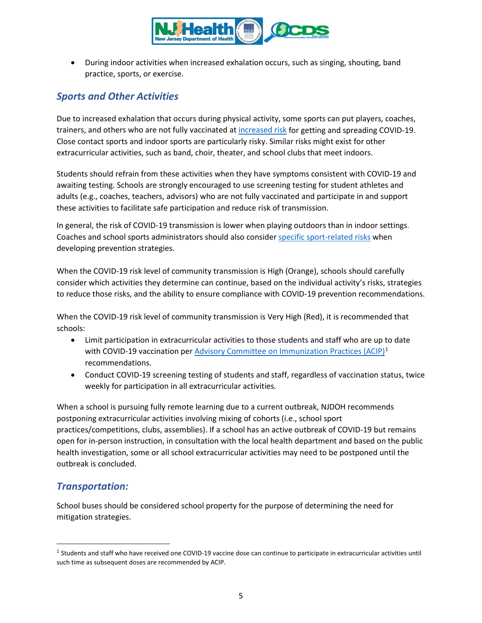

• During indoor activities when increased exhalation occurs, such as singing, shouting, band practice, sports, or exercise.

# *Sports and Other Activities*

Due to increased exhalation that occurs during physical activity, some sports can put players, coaches, trainers, and others who are not fully vaccinated at [increased risk](https://www.cdc.gov/coronavirus/2019-ncov/science/science-briefs/transmission_k_12_schools.html#sports-activities) for getting and spreading COVID-19. Close contact sports and indoor sports are particularly risky. Similar risks might exist for other extracurricular activities, such as band, choir, theater, and school clubs that meet indoors.

Students should refrain from these activities when they have symptoms consistent with COVID-19 and awaiting testing. Schools are strongly encouraged to use screening testing for student athletes and adults (e.g., coaches, teachers, advisors) who are not fully vaccinated and participate in and support these activities to facilitate safe participation and reduce risk of transmission.

In general, the risk of COVID-19 transmission is lower when playing outdoors than in indoor settings. Coaches and school sports administrators should also consider [specific sport-related risks](https://www.cdc.gov/coronavirus/2019-ncov/science/science-briefs/transmission_k_12_schools.html#sports-activities) when developing prevention strategies.

When the COVID-19 risk level of community transmission is High (Orange), schools should carefully consider which activities they determine can continue, based on the individual activity's risks, strategies to reduce those risks, and the ability to ensure compliance with COVID-19 prevention recommendations.

When the COVID-19 risk level of community transmission is Very High (Red), it is recommended that schools:

- Limit participation in extracurricular activities to those students and staff who are up to date with COVID-19 vaccination per [Advisory Committee on Immunization Practices \(ACIP\)](https://www.cdc.gov/vaccines/hcp/acip-recs/vacc-specific/covid-19.html)<sup>[1](#page-4-0)</sup> recommendations.
- Conduct COVID-19 screening testing of students and staff, regardless of vaccination status, twice weekly for participation in all extracurricular activities.

When a school is pursuing fully remote learning due to a current outbreak, NJDOH recommends postponing extracurricular activities involving mixing of cohorts (i.e., school sport practices/competitions, clubs, assemblies). If a school has an active outbreak of COVID-19 but remains open for in-person instruction, in consultation with the local health department and based on the public health investigation, some or all school extracurricular activities may need to be postponed until the outbreak is concluded.

## *Transportation:*

School buses should be considered school property for the purpose of determining the need for mitigation strategies.

<span id="page-4-0"></span><sup>1</sup> Students and staff who have received one COVID-19 vaccine dose can continue to participate in extracurricular activities until such time as subsequent doses are recommended by ACIP.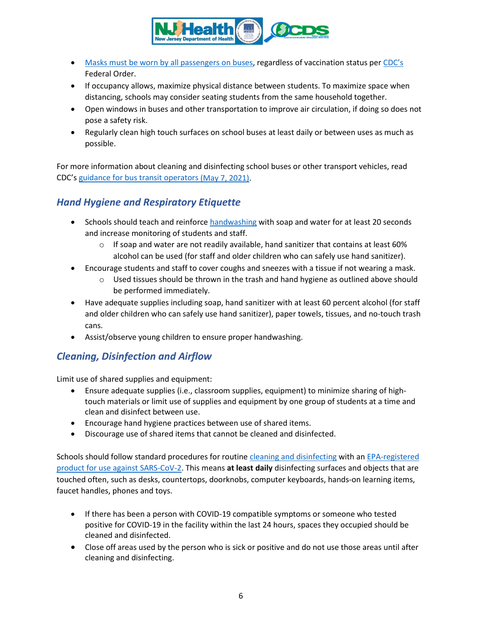

- Masks must be worn by [all passengers](https://www.cdc.gov/coronavirus/2019-ncov/travelers/face-masks-public-transportation.html) on buses, regardless of vaccination status per [CDC's](https://www.cdc.gov/quarantine/pdf/Mask-Order-CDC_GMTF_01-29-21-p.pdf) Federal Order.
- If occupancy allows, maximize physical distance between students. To maximize space when distancing, schools may consider seating students from the same household together.
- Open windows in buses and other transportation to improve air circulation, if doing so does not pose a safety risk.
- Regularly clean high touch surfaces on school buses at least daily or between uses as much as possible.

For more information about cleaning and disinfecting school buses or other transport vehicles, read CDC's [guidance for bus transit operators](https://www.cdc.gov/coronavirus/2019-ncov/community/organizations/bus-transit-operator.html) (May 7, 2021).

# *Hand Hygiene and Respiratory Etiquette*

- Schools should teach and reinforc[e handwashing](https://www.cdc.gov/handwashing/when-how-handwashing.html) with soap and water for at least 20 seconds and increase monitoring of students and staff.
	- $\circ$  If soap and water are not readily available, hand sanitizer that contains at least 60% alcohol can be used (for staff and older children who can safely use hand sanitizer).
- Encourage students and staff to cover coughs and sneezes with a tissue if not wearing a mask.
	- $\circ$  Used tissues should be thrown in the trash and hand hygiene as outlined above should be performed immediately.
- Have adequate supplies including soap, hand sanitizer with at least 60 percent alcohol (for staff and older children who can safely use hand sanitizer), paper towels, tissues, and no-touch trash cans.
- Assist/observe young children to ensure proper handwashing.

# <span id="page-5-0"></span>*Cleaning, Disinfection and Airflow*

Limit use of shared supplies and equipment:

- Ensure adequate supplies (i.e., classroom supplies, equipment) to minimize sharing of hightouch materials or limit use of supplies and equipment by one group of students at a time and clean and disinfect between use.
- Encourage hand hygiene practices between use of shared items.
- Discourage use of shared items that cannot be cleaned and disinfected.

Schools should follow standard procedures for routine [cleaning and disinfecting](https://www.cdc.gov/coronavirus/2019-ncov/community/disinfecting-building-facility.html) with an [EPA-registered](https://www.epa.gov/pesticide-registration/list-n-disinfectants-use-against-sars-cov-2-covid-19)  [product for use against SARS-CoV-2.](https://www.epa.gov/pesticide-registration/list-n-disinfectants-use-against-sars-cov-2-covid-19) This means **at least daily** disinfecting surfaces and objects that are touched often, such as desks, countertops, doorknobs, computer keyboards, hands-on learning items, faucet handles, phones and toys.

- If there has been a person with COVID-19 compatible symptoms or someone who tested positive for COVID-19 in the facility within the last 24 hours, spaces they occupied should be cleaned and disinfected.
- Close off areas used by the person who is sick or positive and do not use those areas until after cleaning and disinfecting.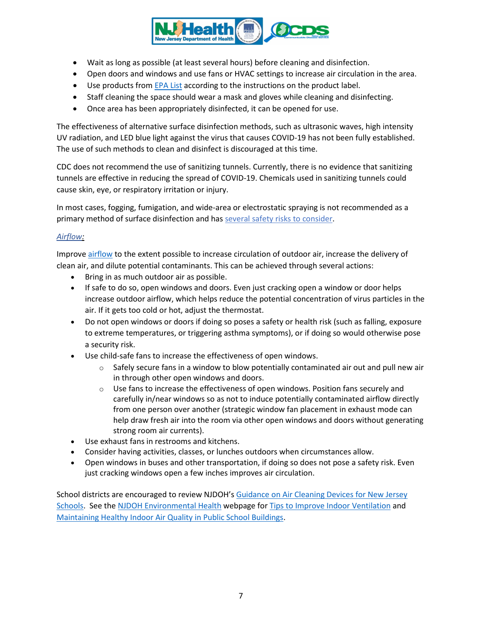

- Wait as long as possible (at least several hours) before cleaning and disinfection.
- Open doors and windows and use fans or HVAC settings to increase air circulation in the area.
- Use products from **[EPA List](https://www.epa.gov/pesticide-registration/list-n-disinfectants-use-against-sars-cov-2-covid-19)** according to the instructions on the product label.
- Staff cleaning the space should wear a mask and gloves while cleaning and disinfecting.
- Once area has been appropriately disinfected, it can be opened for use.

The effectiveness of [alternative surface disinfection methods,](https://www.epa.gov/coronavirus/why-arent-ozone-generators-uv-lights-or-air-purifiers-list-n-can-i-use-these-or-other) such as ultrasonic waves, high intensity UV radiation, and LED blue light against the virus that causes COVID-19 has not been fully established. The use of such methods to clean and disinfect is discouraged at this time.

CDC does not recommend the use of sanitizing tunnels. Currently, there is no evidence that sanitizing tunnels are effective in reducing the spread of COVID-19. Chemicals used in sanitizing tunnels could cause skin, eye, or respiratory irritation or injury.

In most cases, fogging, fumigation, and wide-area or electrostatic spraying is not recommended as a primary method of surface disinfection and has [several safety risks to consider.](https://www.cdc.gov/coronavirus/2019-ncov/php/eh-practitioners/sprayers.html)

## *Airflow:*

Improve [airflow](https://www.cdc.gov/coronavirus/2019-ncov/community/schools-childcare/ventilation.html) to the extent possible to increase circulation of outdoor air, increase the delivery of clean air, and dilute potential contaminants. This can be achieved through several actions:

- Bring in as much outdoor air as possible.
- If safe to do so, open windows and doors. Even just cracking open a window or door helps increase outdoor airflow, which helps reduce the potential concentration of virus particles in the air. If it gets too cold or hot, adjust the thermostat.
- Do not open windows or doors if doing so poses a safety or health risk (such as falling, exposure to extreme temperatures, or triggering asthma symptoms), or if doing so would otherwise pose a security risk.
- Use child-safe fans to increase the effectiveness of open windows.
	- $\circ$  Safely secure fans in a window to blow potentially contaminated air out and pull new air in through other open windows and doors.
	- $\circ$  Use fans to increase the effectiveness of open windows. Position fans securely and carefully in/near windows so as not to induce potentially contaminated airflow directly from one person over another (strategic window fan placement in exhaust mode can help draw fresh air into the room via other open windows and doors without generating strong room air currents).
- Use exhaust fans in restrooms and kitchens.
- Consider having activities, classes, or lunches outdoors when circumstances allow.
- Open windows in buses and other transportation, if doing so does not pose a safety risk. Even just cracking windows open a few inches improves air circulation.

School districts are encouraged to review NJDOH's [Guidance on Air Cleaning Devices for New](https://www.state.nj.us/health/ceohs/documents/ceohs%20content/NJDOH_Guidance_Air_Cleaning_Devices_NJ_Schools.pdf) Jersey [Schools.](https://www.state.nj.us/health/ceohs/documents/ceohs%20content/NJDOH_Guidance_Air_Cleaning_Devices_NJ_Schools.pdf) See the [NJDOH Environmental Health](https://www.state.nj.us/health/ceohs/index.shtml) webpage for [Tips to Improve Indoor Ventilation](https://www.state.nj.us/health/ceohs/documents/ceohs%20content/NJDOH_Ventilation_Indoor_Spaces.pdf) and [Maintaining Healthy Indoor Air Quality in Public School Buildings.](https://www.nj.gov/health/workplacehealthandsafety/documents/peosh/njdoh%20iaq%20public%20schools_covid19.pdf)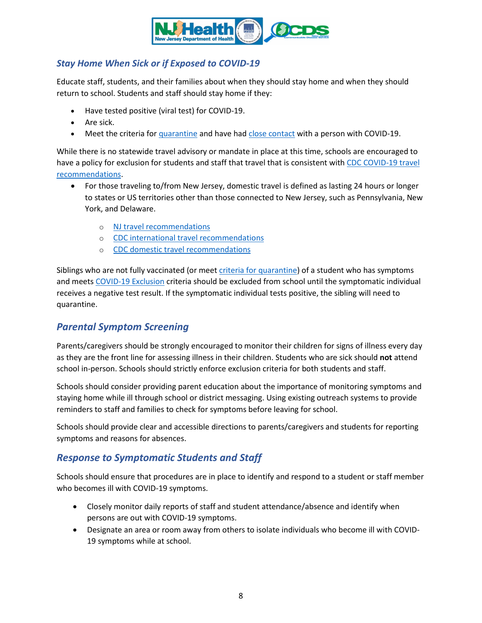

## *Stay Home When Sick or if Exposed to COVID-19*

Educate staff, students, and their families about when they should stay home and when they should return to school. Students and staff should stay home if they:

- Have tested positive (viral test) for COVID-19.
- Are sick.
- Meet the criteria fo[r quarantine](#page-10-0) and have had close [contact](#page-14-0) with a person with COVID-19.

While there is no statewide travel advisory or mandate in place at this time, schools are encouraged to have a policy for exclusion for students and staff that travel that is consistent with CDC COVID-19 travel [recommendations.](https://www.cdc.gov/coronavirus/2019-ncov/travelers/travel-during-covid19.html)

- For those traveling to/from New Jersey, domestic travel is defined as lasting 24 hours or longer to states or US territories other than those connected to New Jersey, such as Pennsylvania, New York, and Delaware.
	- o [NJ travel recommendations](https://covid19.nj.gov/faqs/nj-information/travel-information/which-states-are-on-the-travel-advisory-list-are-there-travel-restrictions-to-or-from-new-jersey)
	- o [CDC international travel recommendations](https://www.cdc.gov/coronavirus/2019-ncov/travelers/after-travel-precautions.html)
	- o [CDC domestic travel recommendations](https://www.cdc.gov/coronavirus/2019-ncov/travelers/travel-during-covid19.html)

Siblings who are not fully vaccinated (or mee[t criteria for quarantine\)](#page-10-0) of a student who has symptoms and meets COVID-19 Exclusion criteria should be excluded from school until the symptomatic individual receives a negative test result. If the symptomatic individual tests positive, the sibling will need to quarantine.

## *Parental Symptom Screening*

Parents/caregivers should be strongly encouraged to monitor their children for signs of illness every day as they are the front line for assessing illness in their children. Students who are sick should **not** attend school in-person. Schools should strictly enforce exclusion criteria for both students and staff.

Schools should consider providing parent education about the importance of monitoring symptoms and staying home while ill through school or district messaging. Using existing outreach systems to provide reminders to staff and families to check for symptoms before leaving for school.

Schools should provide clear and accessible directions to parents/caregivers and students for reporting symptoms and reasons for absences.

# *Response to Symptomatic Students and Staff*

Schools should ensure that procedures are in place to identify and respond to a student or staff member who becomes ill with COVID-19 symptoms.

- Closely monitor daily reports of staff and student attendance/absence and identify when persons are out with COVID-19 symptoms.
- Designate an area or room away from others to isolate individuals who become ill with COVID-19 symptoms while at school.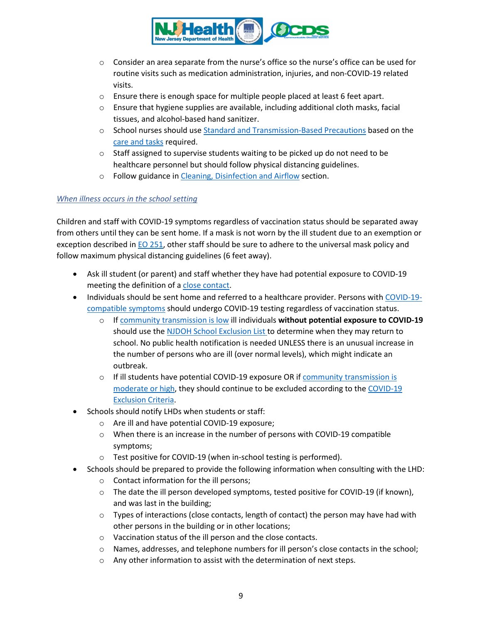

- $\circ$  Consider an area separate from the nurse's office so the nurse's office can be used for routine visits such as medication administration, injuries, and non-COVID-19 related visits.
- $\circ$  Ensure there is enough space for multiple people placed at least 6 feet apart.
- $\circ$  Ensure that hygiene supplies are available, including additional cloth masks, facial tissues, and alcohol-based hand sanitizer.
- o School nurses should us[e Standard and Transmission-Based Precautions](https://www.cdc.gov/coronavirus/2019-ncov/hcp/infection-control-recommendations.html?CDC_AA_refVal=https%3A%2F%2Fwww.cdc.gov%2Fcoronavirus%2F2019-ncov%2Finfection-control%2Fcontrol-recommendations.html) based on the [care and tasks](https://www.state.nj.us/health/cd/documents/topics/NCOV/PPE_School_Nurses.pdf) required.
- $\circ$  Staff assigned to supervise students waiting to be picked up do not need to be healthcare personnel but should follow physical distancing guidelines.
- o Follow guidance in [Cleaning, Disinfection and Airflow](#page-5-0) section.

### *When illness occurs in the school setting*

Children and staff with COVID-19 symptoms regardless of vaccination status should be separated away from others until they can be sent home. If a mask is not worn by the ill student due to an exemption or exception described in **EO 251**, other staff should be sure to adhere to the universal mask policy and follow maximum physical distancing guidelines (6 feet away).

- Ask ill student (or parent) and staff whether they have had potential exposure to COVID-19 meeting the definition of [a close contact.](#page-14-0)
- Individuals should be sent home and referred to a healthcare provider. Persons wit[h COVID-19](#page-9-0) [compatible symptoms](#page-9-0) should undergo COVID-19 testing regardless of vaccination status.
	- o I[f community transmission is low](https://www.nj.gov/health/cd/statistics/covid/#1) ill individuals **without potential exposure to COVID-19** should use the [NJDOH School Exclusion List](https://www.nj.gov/health/cd/documents/topics/outbreaks/School%20Exclusion%20List_9.2018.pdf) to determine when they may return to school. No public health notification is needed UNLESS there is an unusual increase in the number of persons who are ill (over normal levels), which might indicate an outbreak.
	- $\circ$  If ill students have potential COVID-19 exposure OR if community transmission is [moderate or high,](https://www.nj.gov/health/cd/statistics/covid/#1) they should continue to be excluded according to the COVID-19 Exclusion Criteria.
- Schools should notify LHDs when students or staff:
	- o Are ill and have potential COVID-19 exposure;
	- o When there is an increase in the number of persons with COVID-19 compatible symptoms;
	- o Test positive for COVID-19 (when in-school testing is performed).
- Schools should be prepared to provide the following information when consulting with the LHD:
	- o Contact information for the ill persons;
	- $\circ$  The date the ill person developed symptoms, tested positive for COVID-19 (if known), and was last in the building;
	- $\circ$  Types of interactions (close contacts, length of contact) the person may have had with other persons in the building or in other locations;
	- o Vaccination status of the ill person and the close contacts.
	- o Names, addresses, and telephone numbers for ill person's close contacts in the school;
	- $\circ$  Any other information to assist with the determination of next steps.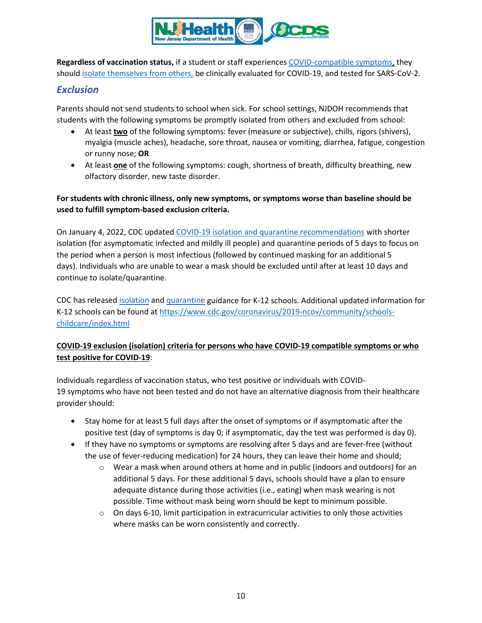

**Regardless of vaccination status,** if a student or staff experiences [COVID-compatible symptoms,](#page-9-0) they should [isolate themselves from others,](https://www.cdc.gov/coronavirus/2019-ncov/if-you-are-sick/isolation.html) be clinically evaluated for COVID-19, and tested for SARS-CoV-2.

## *Exclusion*

Parents should not send students to school when sick. For school settings, NJDOH recommends that students with the following symptoms be promptly isolated from others and excluded from school:

- <span id="page-9-0"></span>• At least **two** of the following symptoms: fever (measure or subjective), chills, rigors (shivers), myalgia (muscle aches), headache, sore throat, nausea or vomiting, diarrhea, fatigue, congestion or runny nose; **OR**
- At least **one** of the following symptoms: cough, shortness of breath, difficulty breathing, new olfactory disorder, new taste disorder.

## **For students with chronic illness, only new symptoms, or symptoms worse than baseline should be used to fulfill symptom-based exclusion criteria.**

On January 4, 2022, CDC updated [COVID-19 isolation and quarantine recommendations](https://www.cdc.gov/coronavirus/2019-ncov/your-health/quarantine-isolation.html) with shorter isolation (for asymptomatic infected and mildly ill people) and quarantine periods of 5 days to focus on the period when a person is most infectious (followed by continued masking for an additional 5 days). Individuals who are unable to wear a mask should be excluded until after at least 10 days and continue to isolate/quarantine.

CDC has release[d isolation](https://www.cdc.gov/coronavirus/2019-ncov/community/schools-childcare/k-12-contact-tracing/about-isolation.html) and [quarantine](https://www.cdc.gov/coronavirus/2019-ncov/community/schools-childcare/k-12-contact-tracing/about-quarantine.html) guidance for K-12 schools. Additional updated information for K-12 schools can be found a[t https://www.cdc.gov/coronavirus/2019-ncov/community/schools](https://www.cdc.gov/coronavirus/2019-ncov/community/schools-childcare/index.html)[childcare/index.html](https://www.cdc.gov/coronavirus/2019-ncov/community/schools-childcare/index.html)

## **COVID-19 exclusion (isolation) criteria for persons who have COVID-19 compatible symptoms or who test positive for COVID-19**:

Individuals regardless of vaccination status, who test positive or individuals with COVID-19 symptoms who have not been tested and do not have an alternative diagnosis from their healthcare provider should:

- Stay home for at least 5 full days after the onset of symptoms or if asymptomatic after the positive test (day of symptoms is day 0; if asymptomatic, day the test was performed is day 0).
- If they have no symptoms or symptoms are resolving after 5 days and are fever-free (without the use of fever-reducing medication) for 24 hours, they can leave their home and should;
	- o Wear a mask when around others at home and in public (indoors and outdoors) for an additional 5 days. For these additional 5 days, schools should have a plan to ensure adequate distance during those activities (i.e., eating) when mask wearing is not possible. Time without mask being worn should be kept to minimum possible.
	- $\circ$  On days 6-10, limit participation in extracurricular activities to only those activities where masks can be worn consistently and correctly.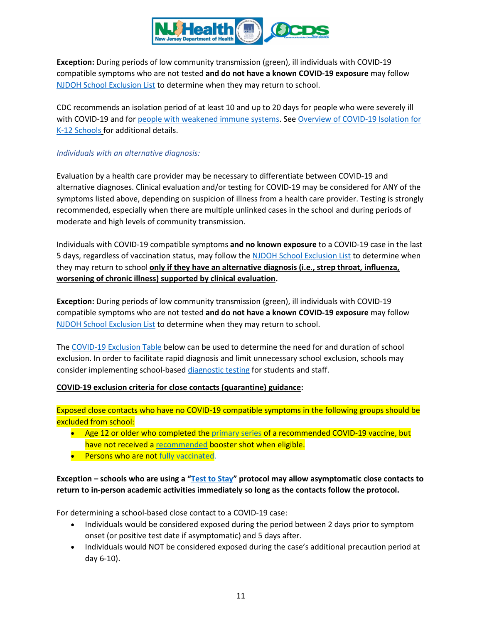

**Exception:** During periods of low community transmission (green), ill individuals with COVID-19 compatible symptoms who are not tested **and do not have a known COVID-19 exposure** may follow [NJDOH School Exclusion List](https://www.nj.gov/health/cd/documents/topics/outbreaks/School%20Exclusion%20List_9.2018.pdf) to determine when they may return to school.

CDC recommends an isolation period of at least 10 and up to 20 days for people who were severely ill with COVID-19 and for [people with weakened immune systems.](https://www.cdc.gov/coronavirus/2019-ncov/need-extra-precautions/people-with-medical-conditions.html) Se[e Overview of COVID-19 Isolation for](https://www.cdc.gov/coronavirus/2019-ncov/community/schools-childcare/k-12-contact-tracing/about-isolation.html)  [K-12 Schools](https://www.cdc.gov/coronavirus/2019-ncov/community/schools-childcare/k-12-contact-tracing/about-isolation.html) for additional details.

### *Individuals with an alternative diagnosis:*

Evaluation by a health care provider may be necessary to differentiate between COVID-19 and alternative diagnoses. Clinical evaluation and/or testing for COVID-19 may be considered for ANY of the symptoms listed above, depending on suspicion of illness from a health care provider. Testing is strongly recommended, especially when there are multiple unlinked cases in the school and during periods of moderate and high levels of community transmission.

Individuals with COVID-19 compatible symptoms **and no known exposure** to a COVID-19 case in the last 5 days, regardless of vaccination status, may follow the [NJDOH School Exclusion List](https://www.nj.gov/health/cd/documents/topics/outbreaks/School%20Exclusion%20List_9.2018.pdf) to determine when they may return to school **only if they have an alternative diagnosis (i.e., strep throat, influenza, worsening of chronic illness) supported by clinical evaluation.**

**Exception:** During periods of low community transmission (green), ill individuals with COVID-19 compatible symptoms who are not tested **and do not have a known COVID-19 exposure** may follow [NJDOH School Exclusion List](https://www.nj.gov/health/cd/documents/topics/outbreaks/School%20Exclusion%20List_9.2018.pdf) to determine when they may return to school.

The [COVID-19 Exclusion Table](#page-13-0) below can be used to determine the need for and duration of school exclusion. In order to facilitate rapid diagnosis and limit unnecessary school exclusion, schools may consider implementing school-base[d diagnostic testing](#page-15-0) for students and staff.

#### <span id="page-10-0"></span>**COVID-19 exclusion criteria for close contacts (quarantine) guidance:**

Exposed close contacts who have no COVID-19 compatible symptoms in the following groups should be excluded from school:

- Age 12 or older who completed the [primary](https://www.cdc.gov/vaccines/covid-19/clinical-considerations/covid-19-vaccines-us.html?CDC_AA_refVal=https%3A%2F%2Fwww.cdc.gov%2Fvaccines%2Fcovid-19%2Finfo-by-product%2Fclinical-considerations.html) series of a recommended COVID-19 vaccine, but have not received a [recommended](https://www.cdc.gov/coronavirus/2019-ncov/vaccines/booster-shot.html) booster shot when eligible.
- **•** Persons who are not fully [vaccinated.](https://www.cdc.gov/coronavirus/2019-ncov/vaccines/stay-up-to-date.html#:%7E:text=Everyone%205%20years%20and%20older,%2DBioNTech%20COVID%2D19%20vaccine.)

**Exception – schools who are using a ["Test to Stay"](https://www.nj.gov/health/cd/documents/topics/NCOV/K-12-test-to-stay.pdf) protocol may allow asymptomatic close contacts to return to in-person academic activities immediately so long as the contacts follow the protocol.**

For determining a school-based close contact to a COVID-19 case:

- Individuals would be considered exposed during the period between 2 days prior to symptom onset (or positive test date if asymptomatic) and 5 days after.
- Individuals would NOT be considered exposed during the case's additional precaution period at day 6-10).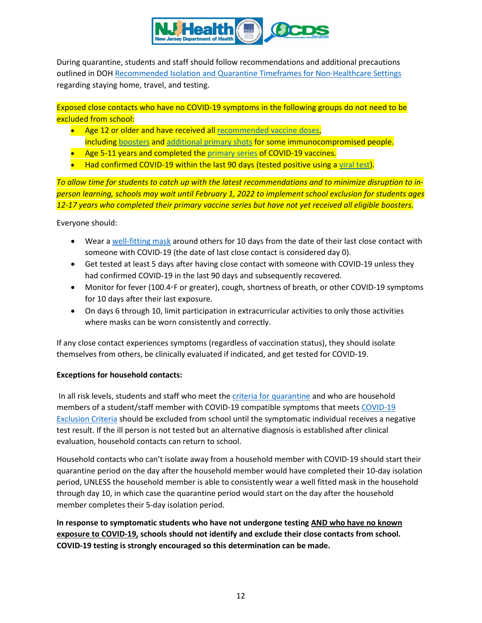

During quarantine, students and staff should follow recommendations and additional precautions outlined in DOH [Recommended Isolation and Quarantine Timeframes for Non-Healthcare Settings](https://www.nj.gov/health/cd/documents/topics/NCOV/isolation_quarantine_nonhealthcare.pdf) regarding staying home, travel, and testing.

Exposed close contacts who have no COVID-19 symptoms in the following groups do not need to be excluded from school:

- Age 12 or older and have received all [recommended vaccine doses,](https://www.cdc.gov/coronavirus/2019-ncov/vaccines/booster-shot.html) including [boosters](https://www.cdc.gov/coronavirus/2019-ncov/vaccines/booster-shot.html) and [additional primary shots](https://www.cdc.gov/coronavirus/2019-ncov/vaccines/recommendations/immuno.html) for some immunocompromised people.
- Age 5-11 years and completed the [primary series](https://www.cdc.gov/vaccines/covid-19/clinical-considerations/covid-19-vaccines-us.html?CDC_AA_refVal=https%3A%2F%2Fwww.cdc.gov%2Fvaccines%2Fcovid-19%2Finfo-by-product%2Fclinical-considerations.html#children) of COVID-19 vaccines.
- $\bullet$  Had confirmed COVID-19 within the last 90 days (tested positive using a [viral test\)](https://www.cdc.gov/coronavirus/2019-ncov/symptoms-testing/testing.html).

*To allow time for students to catch up with the latest recommendations and to minimize disruption to inperson learning, schools may wait until February 1, 2022 to implement school exclusion for students ages 12-17 years who completed their primary vaccine series but have not yet received all eligible boosters.*

Everyone should:

- Wear a [well-fitting mask](https://www.cdc.gov/coronavirus/2019-ncov/your-health/effective-masks.html) around others for 10 days from the date of their last close contact with someone with COVID-19 (the date of last close contact is considered day 0).
- Get tested at least 5 days after having close contact with someone with COVID-19 unless they had confirmed COVID-19 in the last 90 days and subsequently recovered.
- Monitor for fever (100.4◦F or greater), cough, shortness of breath, or other COVID-19 symptoms for 10 days after their last exposure.
- On days 6 through 10, limit participation in extracurricular activities to only those activities where masks can be worn consistently and correctly.

If any close contact experiences symptoms (regardless of vaccination status), they should isolate themselves from others, be clinically evaluated if indicated, and get tested for COVID-19.

#### **Exceptions for household contacts:**

In all risk levels, students and staff who meet the [criteria for quarantine](#page-10-0) and who are household members of a student/staff member with COVID-19 compatible symptoms that meets COVID-19 Exclusion Criteria should be excluded from school until the symptomatic individual receives a negative test result. If the ill person is not tested but an alternative diagnosis is established after clinical evaluation, household contacts can return to school.

Household contacts who can't isolate away from a household member with COVID-19 should start their quarantine period on the day after the household member would have completed their 10-day isolation period, UNLESS the household member is able to consistently wear a well fitted mask in the household through day 10, in which case the quarantine period would start on the day after the household member completes their 5-day isolation period.

**In response to symptomatic students who have not undergone testing AND who have no known exposure to COVID-19, schools should not identify and exclude their close contacts from school. COVID-19 testing is strongly encouraged so this determination can be made.**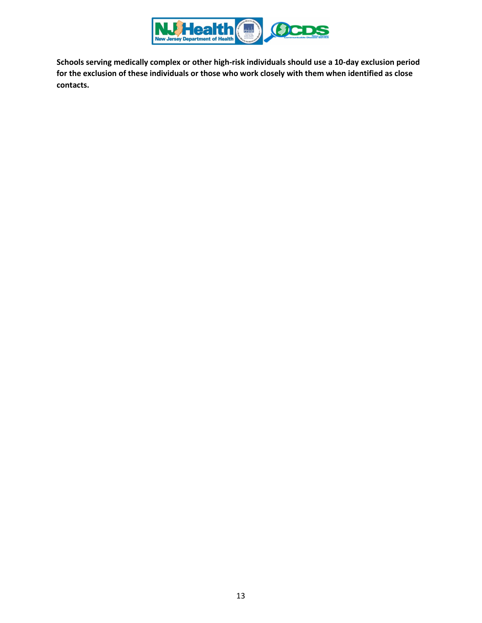

**Schools serving medically complex or other high-risk individuals should use a 10-day exclusion period for the exclusion of these individuals or those who work closely with them when identified as close contacts.**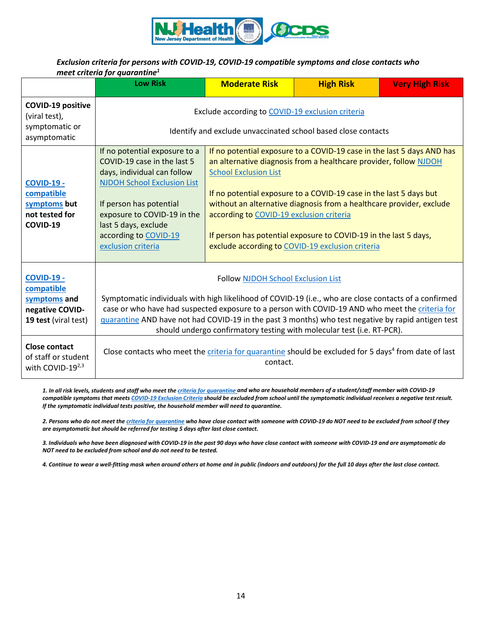

### <span id="page-13-0"></span>*Exclusion criteria for persons with COVID-19, COVID-19 compatible symptoms and close contacts who meet criteria for quarantine1*

|                                                                                            | <b>Low Risk</b>                                                                                                                                                                                                                                                                                                                                                                                                                       | <b>Moderate Risk</b>                                                                                                                                                                                                                                                                                                                                                                                                                                                                          | <b>High Risk</b> | <b>Very High Risk</b> |
|--------------------------------------------------------------------------------------------|---------------------------------------------------------------------------------------------------------------------------------------------------------------------------------------------------------------------------------------------------------------------------------------------------------------------------------------------------------------------------------------------------------------------------------------|-----------------------------------------------------------------------------------------------------------------------------------------------------------------------------------------------------------------------------------------------------------------------------------------------------------------------------------------------------------------------------------------------------------------------------------------------------------------------------------------------|------------------|-----------------------|
| <b>COVID-19 positive</b><br>(viral test),<br>symptomatic or<br>asymptomatic                | Exclude according to COVID-19 exclusion criteria<br>Identify and exclude unvaccinated school based close contacts                                                                                                                                                                                                                                                                                                                     |                                                                                                                                                                                                                                                                                                                                                                                                                                                                                               |                  |                       |
| <b>COVID-19 -</b><br>compatible<br>symptoms but<br>not tested for<br>COVID-19              | If no potential exposure to a<br>COVID-19 case in the last 5<br>days, individual can follow<br><b>NJDOH School Exclusion List</b><br>If person has potential<br>exposure to COVID-19 in the<br>last 5 days, exclude<br>according to COVID-19<br>exclusion criteria                                                                                                                                                                    | If no potential exposure to a COVID-19 case in the last 5 days AND has<br>an alternative diagnosis from a healthcare provider, follow NJDOH<br><b>School Exclusion List</b><br>If no potential exposure to a COVID-19 case in the last 5 days but<br>without an alternative diagnosis from a healthcare provider, exclude<br>according to COVID-19 exclusion criteria<br>If person has potential exposure to COVID-19 in the last 5 days,<br>exclude according to COVID-19 exclusion criteria |                  |                       |
| <b>COVID-19 -</b><br>compatible<br>symptoms and<br>negative COVID-<br>19 test (viral test) | <b>Follow NJDOH School Exclusion List</b><br>Symptomatic individuals with high likelihood of COVID-19 (i.e., who are close contacts of a confirmed<br>case or who have had suspected exposure to a person with COVID-19 AND who meet the criteria for<br>guarantine AND have not had COVID-19 in the past 3 months) who test negative by rapid antigen test<br>should undergo confirmatory testing with molecular test (i.e. RT-PCR). |                                                                                                                                                                                                                                                                                                                                                                                                                                                                                               |                  |                       |
| <b>Close contact</b><br>of staff or student<br>with COVID-192,3                            | Close contacts who meet the criteria for quarantine should be excluded for 5 days <sup>4</sup> from date of last<br>contact.                                                                                                                                                                                                                                                                                                          |                                                                                                                                                                                                                                                                                                                                                                                                                                                                                               |                  |                       |

*1. In all risk levels, students and staff who meet th[e criteria for quarantine](#page-10-0) and who are household members of a student/staff member with COVID-19 compatible symptoms that meets [COVID-19 Exclusion Criteria](#page-9-0) should be excluded from school until the symptomatic individual receives a negative test result. If the symptomatic individual tests positive, the household member will need to quarantine.*

*2. Persons who do not meet th[e criteria for quarantine](#page-10-0) who have close contact with someone with COVID-19 do NOT need to be excluded from school if they are asymptomatic but should be referred for testing 5 days after last close contact.*

*3. Individuals who have been diagnosed with COVID-19 in the past 90 days who have close contact with someone with COVID-19 and are asymptomatic do NOT need to be excluded from school and do not need to be tested.* 

*4. Continue to wear a well-fitting mask when around others at home and in public (indoors and outdoors) for the full 10 days after the last close contact.*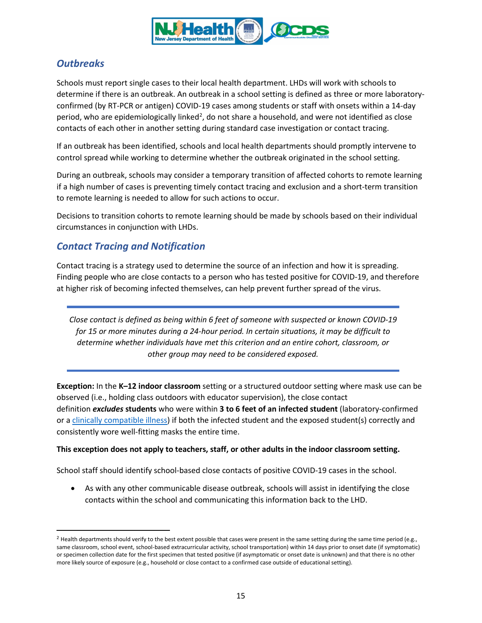

# *Outbreaks*

Schools must report single cases to their local health department. LHDs will work with schools to determine if there is an outbreak. An outbreak in a school setting is defined as three or more laboratoryconfirmed (by RT-PCR or antigen) COVID-19 cases among students or staff with onsets within a 14-day period, who are epidemiologically linked<sup>[2](#page-14-2)</sup>, do not share a household, and were not identified as close contacts of each other in another setting during standard case investigation or contact tracing.

If an outbreak has been identified, schools and local health departments should promptly intervene to control spread while working to determine whether the outbreak originated in the school setting.

During an outbreak, schools may consider a temporary transition of affected cohorts to remote learning if a high number of cases is preventing timely contact tracing and exclusion and a short-term transition to remote learning is needed to allow for such actions to occur.

Decisions to transition cohorts to remote learning should be made by schools based on their individual circumstances in conjunction with LHDs.

## *Contact Tracing and Notification*

Contact tracing is a strategy used to determine the source of an infection and how it is spreading. Finding people who are close contacts to a person who has tested positive for COVID-19, and therefore at higher risk of becoming infected themselves, can help prevent further spread of the virus.

<span id="page-14-0"></span>*Close contact is defined as being within 6 feet of someone with suspected or known COVID-19 for 15 or more minutes during a 24-hour period. In certain situations, it may be difficult to determine whether individuals have met this criterion and an entire cohort, classroom, or other group may need to be considered exposed.* 

<span id="page-14-1"></span>**Exception:** In the **K–12 indoor classroom** setting or a structured outdoor setting where mask use can be observed (i.e., holding class outdoors with educator supervision), the close contact definition *excludes* **students** who were within **3 to 6 feet of an infected student** (laboratory-confirmed or a [clinically compatible illness\)](https://www.cdc.gov/coronavirus/2019-ncov/hcp/clinical-guidance-management-patients.html) if both the infected student and the exposed student(s) correctly and consistently wore well-fitting masks the entire time.

## **This exception does not apply to teachers, staff, or other adults in the indoor classroom setting.**

School staff should identify school-based close contacts of positive COVID-19 cases in the school.

• As with any other communicable disease outbreak, schools will assist in identifying the close contacts within the school and communicating this information back to the LHD.

<span id="page-14-2"></span> $2$  Health departments should verify to the best extent possible that cases were present in the same setting during the same time period (e.g., same classroom, school event, school-based extracurricular activity, school transportation) within 14 days prior to onset date (if symptomatic) or specimen collection date for the first specimen that tested positive (if asymptomatic or onset date is unknown) and that there is no other more likely source of exposure (e.g., household or close contact to a confirmed case outside of educational setting).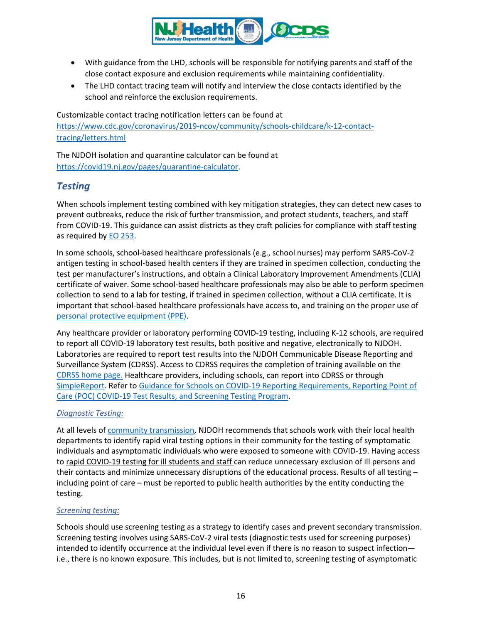

- With guidance from the LHD, schools will be responsible for notifying parents and staff of the close contact exposure and exclusion requirements while maintaining confidentiality.
- The LHD contact tracing team will notify and interview the close contacts identified by the school and reinforce the exclusion requirements.

Customizable contact tracing notification letters can be found at [https://www.cdc.gov/coronavirus/2019-ncov/community/schools-childcare/k-12-contact](https://www.cdc.gov/coronavirus/2019-ncov/community/schools-childcare/k-12-contact-tracing/letters.html)[tracing/letters.html](https://www.cdc.gov/coronavirus/2019-ncov/community/schools-childcare/k-12-contact-tracing/letters.html)

The NJDOH isolation and quarantine calculator can be found at [https://covid19.nj.gov/pages/quarantine-calculator.](https://covid19.nj.gov/pages/quarantine-calculator)

## *Testing*

When schools implement testing combined with key mitigation strategies, they can detect new cases to prevent outbreaks, reduce the risk of further transmission, and protect students, teachers, and staff from COVID-19. This guidance can assist districts as they craft policies for compliance with staff testing as required by [EO 253.](https://nj.gov/infobank/eo/056murphy/pdf/EO-253.pdf)

In some schools, school-based healthcare professionals (e.g., school nurses) may perform SARS-CoV-2 antigen testing in school-based health centers if they are trained in specimen collection, conducting the test per manufacturer's instructions, and obtain a Clinical Laboratory Improvement Amendments (CLIA) certificate of waiver. Some school-based healthcare professionals may also be able to perform specimen collection to send to a lab for testing, if trained in specimen collection, without a CLIA certificate. It is important that school-based healthcare professionals have access to, and training on the proper use of [personal protective equipment \(PPE\).](https://www.cdc.gov/coronavirus/2019-ncov/hcp/using-ppe.html) 

Any healthcare provider or laboratory performing COVID-19 testing, including K-12 schools, are required to report all COVID-19 laboratory test results, both positive and negative, electronically to NJDOH. Laboratories are required to report test results into the NJDOH Communicable Disease Reporting and Surveillance System (CDRSS). Access to CDRSS requires the completion of training available on the [CDRSS home page.](https://cdrs.doh.state.nj.us/cdrss/login/loginPage/) Healthcare providers, including schools, can report into CDRSS or through [SimpleReport.](https://simplereport.gov/) Refer t[o Guidance for Schools on COVID-19 Reporting Requirements, Reporting Point of](https://www.nj.gov/health/cd/documents/topics/NCOV/school_testing_reporting.pdf)  [Care \(POC\) COVID-19 Test Results, and Screening Testing Program.](https://www.nj.gov/health/cd/documents/topics/NCOV/school_testing_reporting.pdf)

## <span id="page-15-0"></span>*Diagnostic Testing:*

At all levels o[f community transmission,](https://www.nj.gov/health/cd/statistics/covid/#1) NJDOH recommends that schools work with their local health departments to identify rapid viral testing options in their community for the testing of symptomatic individuals and asymptomatic individuals who were exposed to someone with COVID-19. Having access to rapid COVID-19 testing for ill students and staff can reduce unnecessary exclusion of ill persons and their contacts and minimize unnecessary disruptions of the educational process. Results of all testing including point of care – must be reported to public health authorities by the entity conducting the testing.

## *Screening testing:*

Schools should use screening testing as a strategy to identify cases and prevent secondary transmission. Screening testing involves using SARS-CoV-2 viral tests (diagnostic tests used for screening purposes) intended to identify occurrence at the individual level even if there is no reason to suspect infection i.e., there is no known exposure. This includes, but is not limited to, screening testing of asymptomatic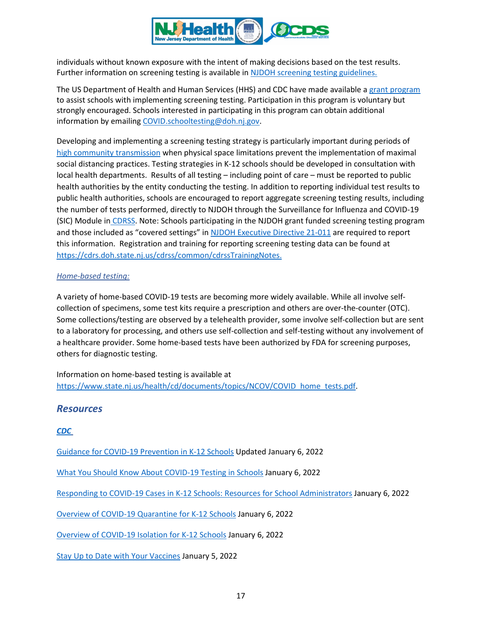

individuals without known exposure with the intent of making decisions based on the test results. Further information on screening testing is available in [NJDOH screening testing guidelines.](https://www.state.nj.us/health/cd/documents/topics/NCOV/K-12_screening_testing_guidelines.pdf)

The US Department of Health and Human Services (HHS) and CDC have made available a [grant program](https://www.cdc.gov/ncezid/dpei/pdf/guidance-elc-reopening-schools-508.pdf) to assist schools with implementing screening testing. Participation in this program is voluntary but strongly encouraged. Schools interested in participating in this program can obtain additional information by emailin[g COVID.schooltesting@doh.nj.gov.](mailto:COVID.schooltesting@doh.nj.gov)

Developing and implementing a screening testing strategy is particularly important during periods of [high community transmission](https://www.nj.gov/health/cd/statistics/covid/#1) when physical space limitations prevent the implementation of maximal social distancing practices. Testing strategies in K-12 schools should be developed in consultation with local health departments. Results of all testing – including point of care – must be reported to public health authorities by the entity conducting the testing. In addition to reporting individual test results to public health authorities, schools are encouraged to report aggregate screening testing results, including the number of tests performed, directly to NJDOH through the Surveillance for Influenza and COVID-19 (SIC) Module in [CDRSS.](https://cdrs.doh.state.nj.us/cdrss/login/loginPage/) Note: Schools participating in the NJDOH grant funded screening testing program and those included as "covered settings" i[n NJDOH Executive Directive 21-011](https://www.state.nj.us/health/legal/covid19/VaxTestEDCoveredSettings.pdf) are required to report this information. Registration and training for reporting screening testing data can be found at [https://cdrs.doh.state.nj.us/cdrss/common/cdrssTrainingNotes.](https://cdrs.doh.state.nj.us/cdrss/common/cdrssTrainingNotes)

#### *Home-based testing:*

A variety of home-based COVID-19 tests are becoming more widely available. While all involve selfcollection of specimens, some test kits require a prescription and others are over-the-counter (OTC). Some collections/testing are observed by a telehealth provider, some involve self-collection but are sent to a laboratory for processing, and others use self-collection and self-testing without any involvement of a healthcare provider. Some home-based tests have been authorized by FDA for screening purposes, others for diagnostic testing.

Information on home-based testing is available at [https://www.state.nj.us/health/cd/documents/topics/NCOV/COVID\\_home\\_tests.pdf.](https://www.state.nj.us/health/cd/documents/topics/NCOV/COVID_home_tests.pdf)

## *Resources*

*[CDC](https://www.cdc.gov/coronavirus/2019-nCoV/index.html)*

[Guidance for COVID-19 Prevention in](https://www.cdc.gov/coronavirus/2019-ncov/community/schools-childcare/k-12-guidance.html) K-12 Schools Updated January 6, 2022

[What You Should Know About COVID-19 Testing in Schools](https://www.cdc.gov/coronavirus/2019-ncov/community/schools-childcare/what-you-should-know.html) January 6, 2022

[Responding to COVID-19 Cases in K-12 Schools: Resources for School Administrators](https://www.cdc.gov/coronavirus/2019-ncov/community/schools-childcare/k-12-contact-tracing/guide.html) January 6, 2022

[Overview of COVID-19 Quarantine for K-12 Schools](https://www.cdc.gov/coronavirus/2019-ncov/community/schools-childcare/k-12-contact-tracing/about-quarantine.html) January 6, 2022

[Overview of COVID-19 Isolation for K-12 Schools](https://www.cdc.gov/coronavirus/2019-ncov/community/schools-childcare/k-12-contact-tracing/about-isolation.html) January 6, 2022

[Stay Up to Date with Your Vaccines](https://www.cdc.gov/coronavirus/2019-ncov/vaccines/stay-up-to-date.html) January 5, 2022